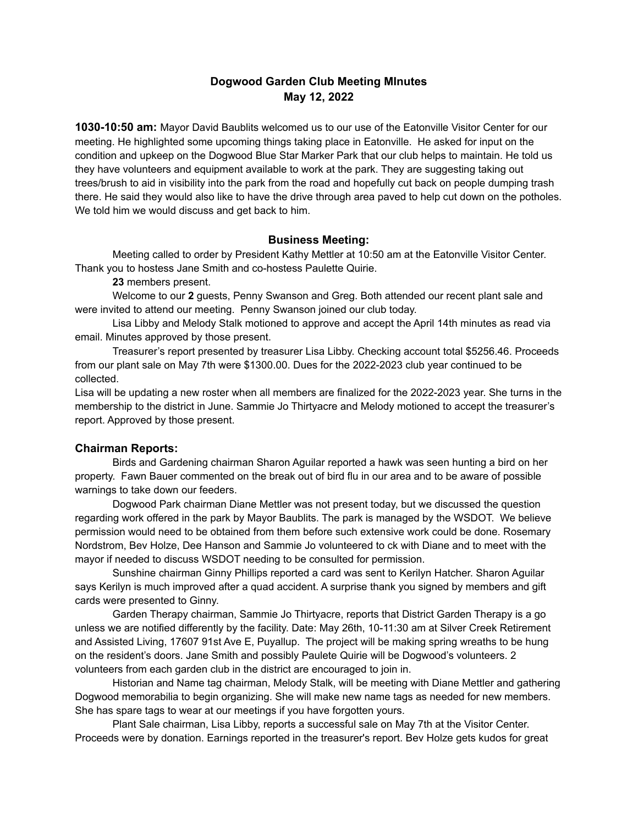# **Dogwood Garden Club Meeting MInutes May 12, 2022**

**1030-10:50 am:** Mayor David Baublits welcomed us to our use of the Eatonville Visitor Center for our meeting. He highlighted some upcoming things taking place in Eatonville. He asked for input on the condition and upkeep on the Dogwood Blue Star Marker Park that our club helps to maintain. He told us they have volunteers and equipment available to work at the park. They are suggesting taking out trees/brush to aid in visibility into the park from the road and hopefully cut back on people dumping trash there. He said they would also like to have the drive through area paved to help cut down on the potholes. We told him we would discuss and get back to him.

#### **Business Meeting:**

Meeting called to order by President Kathy Mettler at 10:50 am at the Eatonville Visitor Center. Thank you to hostess Jane Smith and co-hostess Paulette Quirie.

**23** members present.

Welcome to our **2** guests, Penny Swanson and Greg. Both attended our recent plant sale and were invited to attend our meeting. Penny Swanson joined our club today.

Lisa Libby and Melody Stalk motioned to approve and accept the April 14th minutes as read via email. Minutes approved by those present.

Treasurer's report presented by treasurer Lisa Libby. Checking account total \$5256.46. Proceeds from our plant sale on May 7th were \$1300.00. Dues for the 2022-2023 club year continued to be collected.

Lisa will be updating a new roster when all members are finalized for the 2022-2023 year. She turns in the membership to the district in June. Sammie Jo Thirtyacre and Melody motioned to accept the treasurer's report. Approved by those present.

#### **Chairman Reports:**

Birds and Gardening chairman Sharon Aguilar reported a hawk was seen hunting a bird on her property. Fawn Bauer commented on the break out of bird flu in our area and to be aware of possible warnings to take down our feeders.

Dogwood Park chairman Diane Mettler was not present today, but we discussed the question regarding work offered in the park by Mayor Baublits. The park is managed by the WSDOT. We believe permission would need to be obtained from them before such extensive work could be done. Rosemary Nordstrom, Bev Holze, Dee Hanson and Sammie Jo volunteered to ck with Diane and to meet with the mayor if needed to discuss WSDOT needing to be consulted for permission.

Sunshine chairman Ginny Phillips reported a card was sent to Kerilyn Hatcher. Sharon Aguilar says Kerilyn is much improved after a quad accident. A surprise thank you signed by members and gift cards were presented to Ginny.

Garden Therapy chairman, Sammie Jo Thirtyacre, reports that District Garden Therapy is a go unless we are notified differently by the facility. Date: May 26th, 10-11:30 am at Silver Creek Retirement and Assisted Living, 17607 91st Ave E, Puyallup. The project will be making spring wreaths to be hung on the resident's doors. Jane Smith and possibly Paulete Quirie will be Dogwood's volunteers. 2 volunteers from each garden club in the district are encouraged to join in.

Historian and Name tag chairman, Melody Stalk, will be meeting with Diane Mettler and gathering Dogwood memorabilia to begin organizing. She will make new name tags as needed for new members. She has spare tags to wear at our meetings if you have forgotten yours.

Plant Sale chairman, Lisa Libby, reports a successful sale on May 7th at the Visitor Center. Proceeds were by donation. Earnings reported in the treasurer's report. Bev Holze gets kudos for great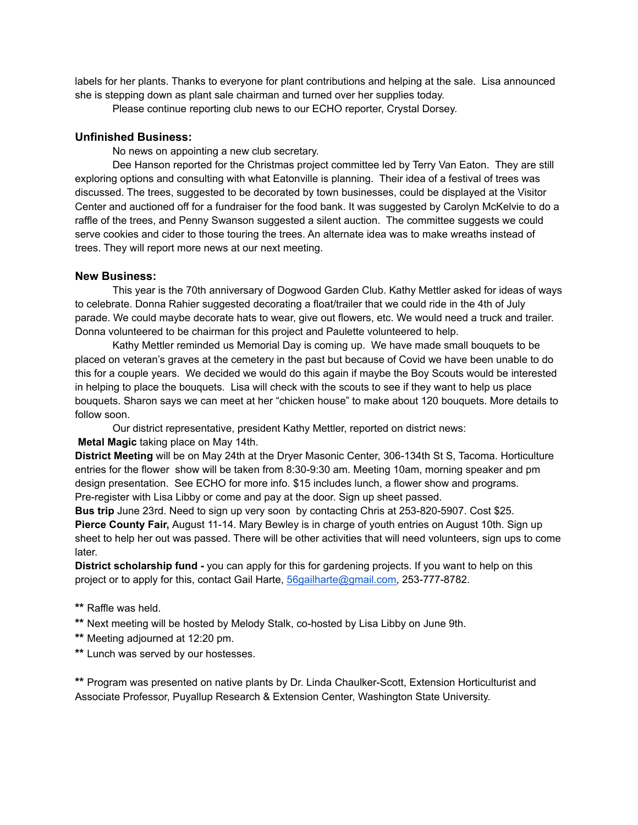labels for her plants. Thanks to everyone for plant contributions and helping at the sale. Lisa announced she is stepping down as plant sale chairman and turned over her supplies today.

Please continue reporting club news to our ECHO reporter, Crystal Dorsey.

### **Unfinished Business:**

No news on appointing a new club secretary.

Dee Hanson reported for the Christmas project committee led by Terry Van Eaton. They are still exploring options and consulting with what Eatonville is planning. Their idea of a festival of trees was discussed. The trees, suggested to be decorated by town businesses, could be displayed at the Visitor Center and auctioned off for a fundraiser for the food bank. It was suggested by Carolyn McKelvie to do a raffle of the trees, and Penny Swanson suggested a silent auction. The committee suggests we could serve cookies and cider to those touring the trees. An alternate idea was to make wreaths instead of trees. They will report more news at our next meeting.

### **New Business:**

This year is the 70th anniversary of Dogwood Garden Club. Kathy Mettler asked for ideas of ways to celebrate. Donna Rahier suggested decorating a float/trailer that we could ride in the 4th of July parade. We could maybe decorate hats to wear, give out flowers, etc. We would need a truck and trailer. Donna volunteered to be chairman for this project and Paulette volunteered to help.

Kathy Mettler reminded us Memorial Day is coming up. We have made small bouquets to be placed on veteran's graves at the cemetery in the past but because of Covid we have been unable to do this for a couple years. We decided we would do this again if maybe the Boy Scouts would be interested in helping to place the bouquets. Lisa will check with the scouts to see if they want to help us place bouquets. Sharon says we can meet at her "chicken house" to make about 120 bouquets. More details to follow soon.

Our district representative, president Kathy Mettler, reported on district news:

### **Metal Magic** taking place on May 14th.

**District Meeting** will be on May 24th at the Dryer Masonic Center, 306-134th St S, Tacoma. Horticulture entries for the flower show will be taken from 8:30-9:30 am. Meeting 10am, morning speaker and pm design presentation. See ECHO for more info. \$15 includes lunch, a flower show and programs. Pre-register with Lisa Libby or come and pay at the door. Sign up sheet passed.

**Bus trip** June 23rd. Need to sign up very soon by contacting Chris at 253-820-5907. Cost \$25. **Pierce County Fair,** August 11-14. Mary Bewley is in charge of youth entries on August 10th. Sign up sheet to help her out was passed. There will be other activities that will need volunteers, sign ups to come later.

**District scholarship fund -** you can apply for this for gardening projects. If you want to help on this project or to apply for this, contact Gail Harte, [56gailharte@gmail.com,](mailto:56gailharte@gmail.com) 253-777-8782.

- **\*\*** Raffle was held.
- **\*\*** Next meeting will be hosted by Melody Stalk, co-hosted by Lisa Libby on June 9th.
- **\*\*** Meeting adjourned at 12:20 pm.
- **\*\*** Lunch was served by our hostesses.

**\*\*** Program was presented on native plants by Dr. Linda Chaulker-Scott, Extension Horticulturist and Associate Professor, Puyallup Research & Extension Center, Washington State University.